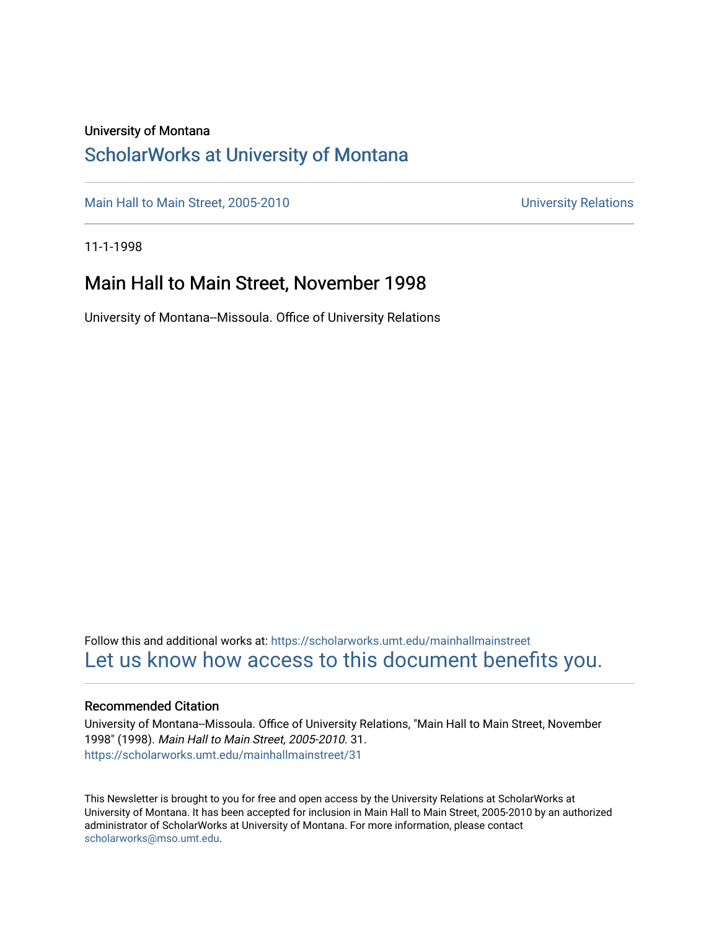## University of Montana

## [ScholarWorks at University of Montana](https://scholarworks.umt.edu/)

[Main Hall to Main Street, 2005-2010](https://scholarworks.umt.edu/mainhallmainstreet) Main Hall to Main Street, 2005-2010

11-1-1998

## Main Hall to Main Street, November 1998

University of Montana--Missoula. Office of University Relations

Follow this and additional works at: [https://scholarworks.umt.edu/mainhallmainstreet](https://scholarworks.umt.edu/mainhallmainstreet?utm_source=scholarworks.umt.edu%2Fmainhallmainstreet%2F31&utm_medium=PDF&utm_campaign=PDFCoverPages) [Let us know how access to this document benefits you.](https://goo.gl/forms/s2rGfXOLzz71qgsB2) 

### Recommended Citation

University of Montana--Missoula. Office of University Relations, "Main Hall to Main Street, November 1998" (1998). Main Hall to Main Street, 2005-2010. 31. [https://scholarworks.umt.edu/mainhallmainstreet/31](https://scholarworks.umt.edu/mainhallmainstreet/31?utm_source=scholarworks.umt.edu%2Fmainhallmainstreet%2F31&utm_medium=PDF&utm_campaign=PDFCoverPages) 

This Newsletter is brought to you for free and open access by the University Relations at ScholarWorks at University of Montana. It has been accepted for inclusion in Main Hall to Main Street, 2005-2010 by an authorized administrator of ScholarWorks at University of Montana. For more information, please contact [scholarworks@mso.umt.edu.](mailto:scholarworks@mso.umt.edu)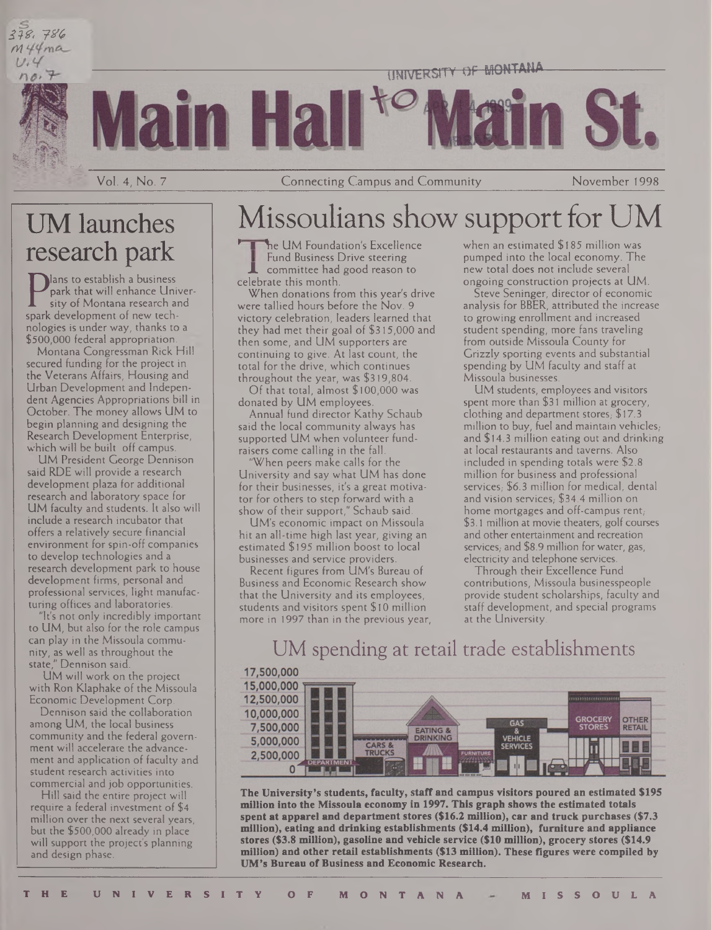



Vol. 4, No. 7 Connecting Campus and Community November 1998

# UM launches research park

Mans to establish a business park that will enhance University of Montana research and spark development of new technologies is under way, thanks to a \$500,000 federal appropriation.

Montana Congressman Rick Hill secured funding for the project in the Veterans Affairs, Housing and Urban Development and Independent Agencies Appropriations bill in October. The money allows UM to begin planning and designing the Research Development Enterprise, which will be built off campus.

UM President George Dennison said RDE will provide a research development plaza for additional research and laboratory space for UM faculty and students. It also will include a research incubator that offers a relatively secure financial environment for spin-off companies to develop technologies and a research development park to house development firms, personal and professional services, light manufacturing offices and laboratories.

"It's not only incredibly important to UM, but also for the role campus can play in the Missoula community, as well as throughout the state," Dennison said.

UM will work on the project with Ron Klaphake of the Missoula Economic Development Corp.

Dennison said the collaboration among UM, the local business community and the federal government will accelerate the advancement and application of faculty and student research activities into commercial and job opportunities.

Hill said the entire project will require a federal investment of \$4 million over the next several years, but the \$500,000 already in place will support the project's planning and design phase.

# Missoulians show support for U

 $\lambda$ <sup>he</sup> UM Foundation's Excellence Fund Business Drive steering committee had good reason to celebrate this month.

When donations from this year's drive were tallied hours before the Nov. 9 victory celebration, leaders learned that they had met their goal of \$315,000 and then some, and UM supporters are continuing to give. At last count, the total for the drive, which continues throughout the year, was \$319,804.

Of that total, almost \$100,000 was donated by UM employees.

Annual fund director Kathy Schaub said the local community always has supported UM when volunteer fundraisers come calling in the fall.

"When peers make calls for the University and say what UM has done for their businesses, it's a great motivator for others to step forward with a show of their support," Schaub said.

UM's economic impact on Missoula hit an all-time high last year, giving an estimated \$195 million boost to local businesses and service providers.

Recent figures from UM's Bureau of Business and Economic Research show that the University and its employees, students and visitors spent \$10 million more in 1997 than in the previous year, when an estimated \$185 million was pumped into the local economy. The new total does not include several ongoing construction projects at UM.

Steve Seninger, director of economic analysis for BBER, attributed the increase to growing enrollment and increased student spending, more fans traveling from outside Missoula County for Grizzly sporting events and substantial spending by UM faculty and staff at Missoula businesses.

UM students, employees and visitors spent more than \$31 million at grocery, clothing and department stores, \$17.3 million to buy, fuel and maintain vehicles, and \$14.3 million eating out and drinking at local restaurants and taverns. Also included in spending totals were \$2.8 million for business and professional services, \$6.3 million for medical, dental and vision services, \$34.4 million on home mortgages and off-campus rent, \$3.1 million at movie theaters, golf courses and other entertainment and recreation services, and \$8.9 million for water, gas, electricity and telephone services.

Through their Excellence Fund contributions, Missoula businesspeople provide student scholarships, faculty and staff development, and special programs at the University.

# UM spending at retail trade establishments



**The University's students, faculty, staff and campus visitors poured an estimated \$195 million into the Missoula economy in 1997. This graph shows the estimated totals spent at apparel and departmentstores (\$16.2 million), car and truck purchases (\$7.3 million), eating and drinking establishments (\$14.4 million), furniture and appliance stores (\$3.8 million), gasoline and vehicle service (\$10 million), grocery stores (\$14.9 million) and other retail establishments (\$13 million). These figures were compiled by UM's Bureau ofBusiness and Economic Research.**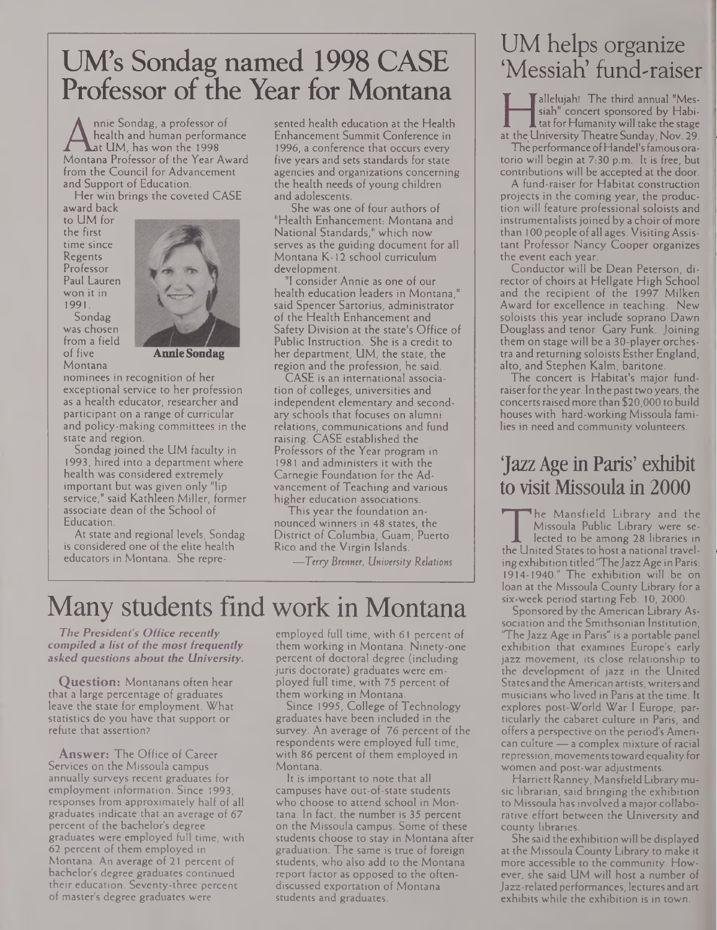# UM's Sondag named 1998 CASE Professor of the Year for Montana

A health and human performance Enlarged Lat UM, has won the 1998 19<br>Montana Professor of the Year Award firm<br>from the Council for Advancement nnie Sondag, a professor of health and human performance at UM, has won the 1998 from the Council for Advancement and Support of Education.

Her win brings the coveted CASE award back

to UM for the first time since Regents Professor Paul Lauren won it in 1991.





**Annie Sondag**

nominees in recognition of her exceptional service to her profession as a health educator, researcher and participant on a range of curricular and policy-making committees in the state and region.

Sondag joined the UM faculty in 1993, hired into a department where health was considered extremely important but was given only "lip service," said Kathleen Miller, former associate dean of the School of Education.

At state and regional levels, Sondag is considered one of the elite health educators in Montana. She represented health education at the Health Enhancement Summit Conference in 1996, a conference that occurs every five years and sets standards for state agencies and organizations concerning the health needs of young children and adolescents.

She was one of four authors of "Health Enhancement: Montana and National Standards," which now serves as the guiding document for all Montana K-12 school curriculum development.

"I consider Annie as one of our health education leaders in Montana," said Spencer Sartorius, administrator of the Health Enhancement and Safety Division at the state's Office of Public Instruction. She is a credit to her department, UM, the state, the region and the profession, he said.

CASE is an international association of colleges, universities and independent elementary and secondary schools that focuses on alumni relations, communications and fund raising. CASE established the Professors of the Year program in 1981 and administers it with the Carnegie Foundation for the Advancement of Teaching and various higher education associations.

This year the foundation announced winners in 48 states, the District of Columbia, Guam, Puerto Rico and the Virgin Islands.

*—Terry Brenner, University Relations*

# Many students find work in Montana

*The President's Office recently compiled <sup>a</sup> list of the most frequently asked questions about the University.*

**Question:** Montanans often hear that a large percentage of graduates leave the state for employment. What statistics do you have that support or refute that assertion?

**Answer:** The Office of Career Services on the Missoula campus annually surveys recent graduates for employment information. Since 1993, responses from approximately half of all graduates indicate that an average of 67 percent of the bachelor's degree graduates were employed full time, with 62 percent of them employed in Montana. An average of 21 percent of bachelor's degree graduates continued their education. Seventy-three percent of master's degree graduates were

employed full time, with 61 percent of them working in Montana. Ninety-one percent of doctoral degree (including juris doctorate) graduates were employed full time, with 75 percent of them working in Montana.

Since 1995, College of Technology graduates have been included in the survey. An average of 76 percent of the respondents were employed full time, with 86 percent of them employed in Montana.

It is important to note that all campuses have out-of-state students who choose to attend school in Montana. In fact, the number is 35 percent on the Missoula campus. Some of these students choose to stay in Montana after graduation. The same is true of foreign students, who also add to the Montana report factor as opposed to the oftendiscussed exportation of Montana students and graduates.

# UM helps organize 'Messiah' fund-raiser

siah" concert sponsored by Habi-<br>tat for Humanity will take the stage<br>at the University Theatre Sunday, Nov. 29.<br>The performance of Handel's famous oraallelujah! The third annual "Messiah" concert sponsored by Habi- $\blacksquare$  tat for Humanity will take the stage

The performanceofHandel'sfamousoratorio will begin at 7:30 p.m. It is free, but contributions will be accepted at the door.

A fund-raiser for Habitat construction projects in the coming year, the production will feature professional soloists and instrumentalists joined by a choir of more than 100 people of all ages. VisitingAssistant Professor Nancy Cooper organizes the event each year.

Conductor will be Dean Peterson, director of choirs at Hellgate High School and the recipient of the 1997 Milken Award for excellence in teaching. New soloists this year include soprano Dawn Douglass and tenor Gary Funk. Joining them on stage will be a 30-player orchestra and returning soloists Esther England, alto, and Stephen Kalm, baritone.

The concert is Habitat's major fundraiser for the year. In the past two years, the concerts raised more than \$20,000 to build houses with hard-working Missoula families in need and community volunteers.

# Jazz Age in Paris' exhibit to visit Missoula in 2000

Missoula Public Library and the<br>Missoula Public Library were se-<br>lected to be among 28 libraries in<br>the United States to host a national travel-<br>ing exhibition titled "The Jazz Age in Parishe Mansfield Library and the Missoula Public Library were selected to be among 28 libraries in ing exhibition titled "The Jazz Age in Paris: 1914-1940." The exhibition will be on loan at the Missoula County Library for a six-week period starting Feb. 10, 2000.

Sponsored by the American Library Association and the Smithsonian Institution, "The Jazz Age in Paris" is a portable panel exhibition that examines Europe's early jazz movement, its close relationship to the development of jazz in the United States and the American artists, writers and musicians who lived in Paris at the time. It explores post-World War <sup>I</sup> Europe, particularly the cabaret culture in Paris, and offers a perspective on the period's American culture — a complex mixture of racial repression, movements toward equality for women and post-war adjustments.

Harriett Ranney, Mansfield Library music librarian, said bringing the exhibition to Missoula has involved a major collaborative effort between the University and county libraries.

She said the exhibition will be displayed at the Missoula County Library to make it more accessible to the community. However, she said UM will host a number of Jazz-related performances, lectures andart exhibits while the exhibition is in town.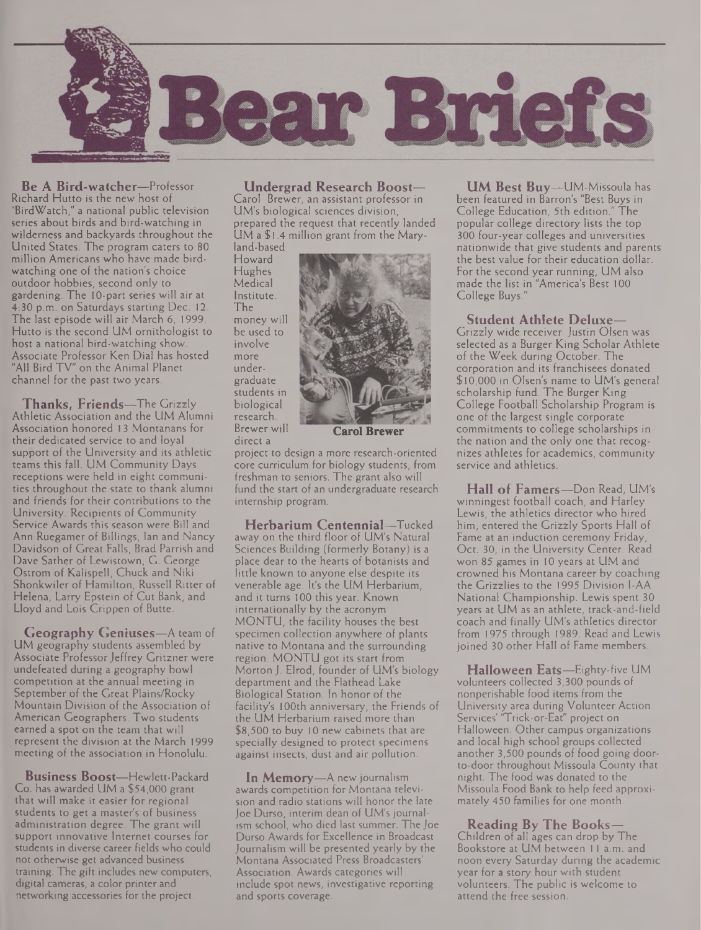

**Be A Bird-watcher—**Professor Richard Hutto is the new host of "BirdWatch," a national public television series about birds and bird-watching in wilderness and backyards throughout the United States. The program caters to 80 million Americans who have made birdwatching one of the nation's choice outdoor hobbies, second only to gardening. The 10-part series will air at 4:30 p.m. on Saturdays starting Dec. 12. The last episode will air March 6, 1999. Hutto is the second UM ornithologist to host a national bird-watching show. Associate Professor Ken Dial has hosted "All Bird TV" on the Animal Planet channel for the past two years.

**Thanks, Friends—**The Grizzly Athletic Association and the UM Alumni Association honored 13 Montanans for their dedicated service to and loyal support of the University and its athletic teams this fall. UM Community Days receptions were held in eight communities throughout the state to thank alumni and friends for their contributions to the University. Recipients of Community Service Awards this season were Bill and Ann Ruegamer of Billings, Ian and Nancy Davidson of Great Falls, Brad Parrish and Dave Sather of Lewistown, G. George Ostrom of Kalispell, Chuck and Niki Shonkwiler of Hamilton, Russell Ritter of Helena, Larry Epstein of Cut Bank, and Lloyd and Lois Crippen of Butte.

**Geography Geniuses—**A team of UM geography students assembled by Associate Professor Jeffrey Gritzner were undefeated during a geography bowl competition at the annual meeting in September of the Great Plains/Rocky Mountain Division of the Association of American Geographers. Two students earned a spot on the team that will represent the division at the March 1999 meeting of the association in Honolulu.

**Business Boost—**Hewlett-Packard Co. has awarded UM a \$54,000 grant that will make it easier for regional students to get a master's of business administration degree. The grant will support innovative Internet courses for students in diverse career fields who could not otherwise get advanced business training. The gift includes new computers, digital cameras, a color printer and networking accessories for the project.

**Undergrad Research Boost—** Carol Brewer, an assistant professor in UM's biological sciences division, prepared the request that recently landed UM a \$1.4 million grant from the Maryland-based

Howard Hughes Medical Institute. The money will be used to involve more undergraduate students in biological research. Brewer will

direct a

project to design a more research-oriented core curriculum for biology students, from freshman to seniors. The grant also will fund the start of an undergraduate research internship program.

**Herbarium Centennial—**Tucked away on the third floor of UM's Natural Sciences Building (formerly Botany) is a place dear to the hearts of botanists and little known to anyone else despite its venerable age. It's the UM Herbarium, and it turns 100 this year. Known internationally by the acronym MONTU, the facility houses the best specimen collection anywhere of plants native to Montana and the surrounding region. MONTU got its start from Morton J. Elrod, founder of UM's biology department and the Flathead Lake Biological Station. In honor of the facility's 100th anniversary, the Friends of the UM Herbarium raised more than \$8,500 to buy 10 new cabinets that are specially designed to protect specimens against insects, dust and air pollution.

**In Memory—**A new journalism awards competition for Montana television and radio stations will honor the late Joe Durso, interim dean of UM's journalism school, who died last summer. The Joe Durso Awards for Excellence in Broadcast Journalism will be presented yearly by the Montana Associated Press Broadcasters' Association. Awards categories will include spot news, investigative reporting and sports coverage.

**UM Best Buy—**UM-Missoula has been featured in Barron's "Best Buys in College Education, 5th edition." The popular college directory lists the top 300 four-year colleges and universities nationwide that give students and parents the best value for their education dollar. For the second year running, UM also made the list in "America's Best 100 College Buys."

#### **Student Athlete Deluxe—**

Grizzly wide receiver Justin Olsen was selected as a Burger King Scholar Athlete of the Week during October. The corporation and its franchisees donated \$10,000 in Olsen's name to UM's general scholarship fund. The Burger King College Football Scholarship Program is one of the largest single corporate commitments to college scholarships in the nation and the only one that recognizes athletes for academics, community service and athletics.

**Hall of Famers—**Don Read, UM's winningest football coach, and Harley Lewis, the athletics director who hired him, entered the Grizzly Sports Hall of Fame at an induction ceremony Friday, Oct. 30, in the University Center. Read won 85 games in 10 years at UM and crowned his Montana career by coaching the Grizzlies to the 1995 Division I-AA National Championship. Lewis spent 30 years at UM as an athlete, track-and-field coach and finally UM's athletics director from 1975 through 1989. Read and Lewis joined 30 other Hall of Fame members.

**Halloween Eats—**Eighty-five UM volunteers collected 3,300 pounds of nonperishable food items from the University area during Volunteer Action Services' "Trick-or-Eat" project on Halloween. Other campus organizations and local high school groups collected another 3,500 pounds of food going doorto-door throughout Missoula County that night. The food was donated to the Missoula Food Bank to help feed approximately 450 families for one month.

#### **Reading By The Books—**

Children of all ages can drop by The Bookstore at UM between <sup>11</sup> a.m. and noon every Saturday during the academic year for a story hour with student volunteers. The public is welcome to attend the free session.